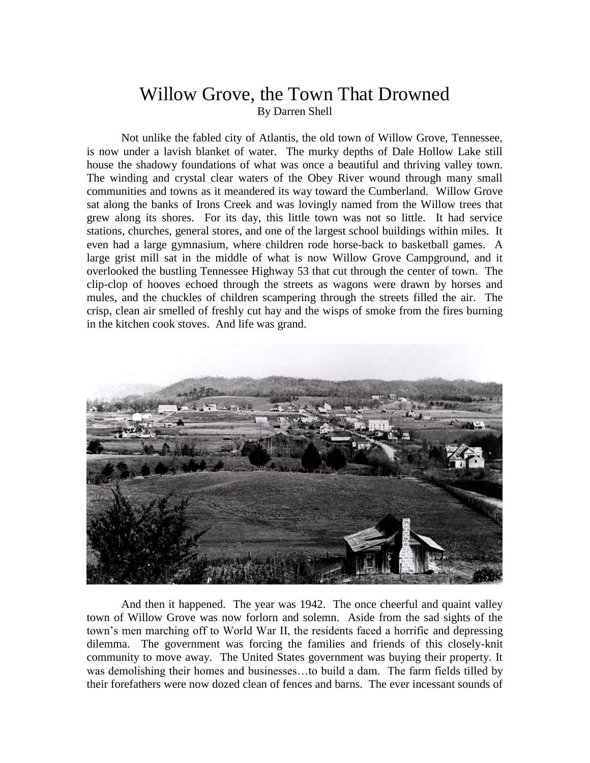## Willow Grove, the Town That Drowned By Darren Shell

Not unlike the fabled city of Atlantis, the old town of Willow Grove, Tennessee, is now under a lavish blanket of water. The murky depths of Dale Hollow Lake still house the shadowy foundations of what was once a beautiful and thriving valley town. The winding and crystal clear waters of the Obey River wound through many small communities and towns as it meandered its way toward the Cumberland. Willow Grove sat along the banks of Irons Creek and was lovingly named from the Willow trees that grew along its shores. For its day, this little town was not so little. It had service stations, churches, general stores, and one of the largest school buildings within miles. It even had a large gymnasium, where children rode horse-back to basketball games. A large grist mill sat in the middle of what is now Willow Grove Campground, and it overlooked the bustling Tennessee Highway 53 that cut through the center of town. The clip-clop of hooves echoed through the streets as wagons were drawn by horses and mules, and the chuckles of children scampering through the streets filled the air. The crisp, clean air smelled of freshly cut hay and the wisps of smoke from the fires burning in the kitchen cook stoves. And life was grand.



And then it happened. The year was 1942. The once cheerful and quaint valley town of Willow Grove was now forlorn and solemn. Aside from the sad sights of the town's men marching off to World War II, the residents faced a horrific and depressing dilemma. The government was forcing the families and friends of this closely-knit community to move away. The United States government was buying their property. It was demolishing their homes and businesses…to build a dam. The farm fields tilled by their forefathers were now dozed clean of fences and barns. The ever incessant sounds of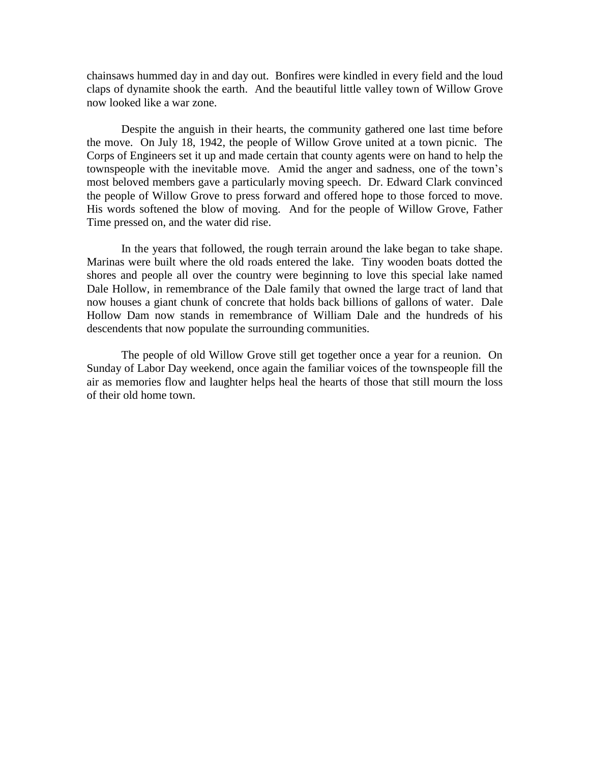chainsaws hummed day in and day out. Bonfires were kindled in every field and the loud claps of dynamite shook the earth. And the beautiful little valley town of Willow Grove now looked like a war zone.

Despite the anguish in their hearts, the community gathered one last time before the move. On July 18, 1942, the people of Willow Grove united at a town picnic. The Corps of Engineers set it up and made certain that county agents were on hand to help the townspeople with the inevitable move. Amid the anger and sadness, one of the town's most beloved members gave a particularly moving speech. Dr. Edward Clark convinced the people of Willow Grove to press forward and offered hope to those forced to move. His words softened the blow of moving. And for the people of Willow Grove, Father Time pressed on, and the water did rise.

In the years that followed, the rough terrain around the lake began to take shape. Marinas were built where the old roads entered the lake. Tiny wooden boats dotted the shores and people all over the country were beginning to love this special lake named Dale Hollow, in remembrance of the Dale family that owned the large tract of land that now houses a giant chunk of concrete that holds back billions of gallons of water. Dale Hollow Dam now stands in remembrance of William Dale and the hundreds of his descendents that now populate the surrounding communities.

The people of old Willow Grove still get together once a year for a reunion. On Sunday of Labor Day weekend, once again the familiar voices of the townspeople fill the air as memories flow and laughter helps heal the hearts of those that still mourn the loss of their old home town.